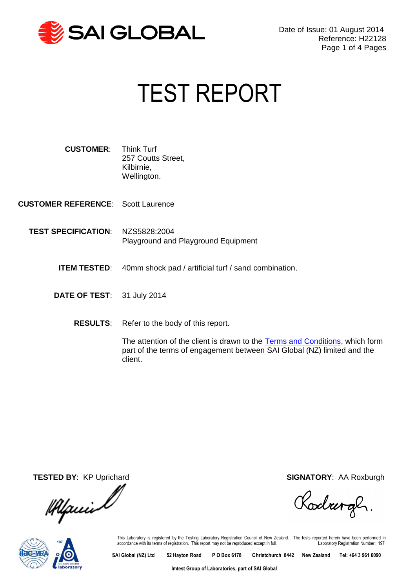

# <span id="page-0-2"></span><span id="page-0-1"></span><span id="page-0-0"></span>TEST REPORT

| <b>CUSTOMER:</b> | <b>Think Turf</b>  |
|------------------|--------------------|
|                  | 257 Coutts Street, |
|                  | Kilbirnie,         |
|                  | Wellington.        |

**CUSTOMER REFERENCE**: Scott Laurence

- **TEST SPECIFICATION**: NZS5828:2004 Playground and Playground Equipment
	- **ITEM TESTED:** 40mm shock pad / artificial turf / sand combination.
	- **DATE OF TEST**: 31 July 2014
		- **RESULTS**: Refer to the body of this report.

The attention of the client is drawn to the [Terms and Conditions,](http://www.saiglobal.com/product-certification/downloads/ProductTestingTsandCs-Imtest.pdf) which form part of the terms of engagement between SAI Global (NZ) limited and the client.

14 puis l

**TESTED BY**: KP Uprichard **SIGNATORY**: AA Roxburgh

Rodrergh.



This Laboratory is registered by the Testing Laboratory Registration Council of New Zealand. The tests reported herein have been performed in<br>accordance with its terms of registration. This report may not be reproduced exc

**SAI Global (NZ) Ltd 52 Hayton Road P O Box 6178 Christchurch 8442 New Zealand Tel: +64 3 961 6090** 

**Imtest Group of Laboratories, part of SAI Global**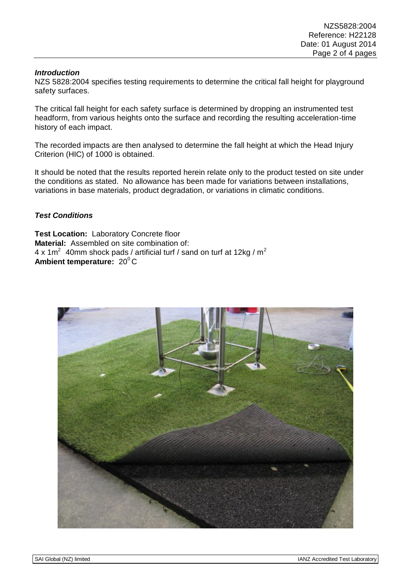#### *Introduction*

NZS 5828:2004 specifies testing requirements to determine the critical fall height for playground safety surfaces.

The critical fall height for each safety surface is determined by dropping an instrumented test headform, from various heights onto the surface and recording the resulting acceleration-time history of each impact.

The recorded impacts are then analysed to determine the fall height at which the Head Injury Criterion (HIC) of 1000 is obtained.

It should be noted that the results reported herein relate only to the product tested on site under the conditions as stated. No allowance has been made for variations between installations, variations in base materials, product degradation, or variations in climatic conditions.

### *Test Conditions*

**Test Location:** Laboratory Concrete floor **Material:** Assembled on site combination of: 4 x 1m<sup>2</sup> 40mm shock pads / artificial turf / sand on turf at 12kg / m<sup>2</sup> **Ambient temperature: 20°C** 

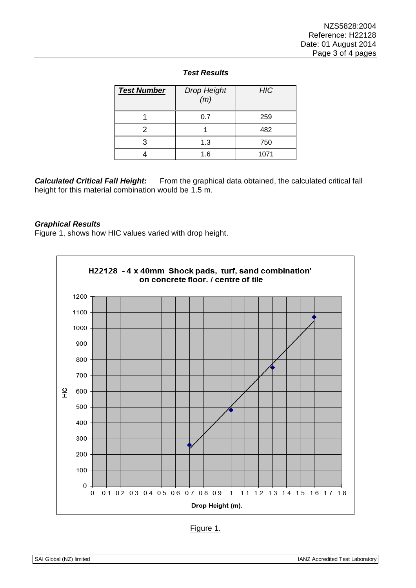| <b>Test Number</b> | <b>Drop Height</b><br>(m) | <b>HIC</b> |
|--------------------|---------------------------|------------|
|                    | 0.7                       | 259        |
|                    |                           | 482        |
|                    | 1.3                       | 750        |
|                    | 1.6                       | 1071       |

## *Test Results*

**Calculated Critical Fall Height:** From the graphical data obtained, the calculated critical fall height for this material combination would be 1.5 m.

#### *Graphical Results*

Figure 1, shows how HIC values varied with drop height.



| aur |  |
|-----|--|
|     |  |